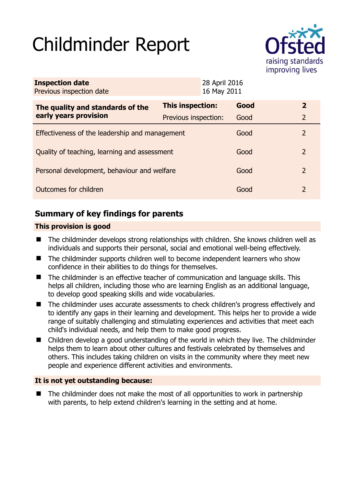# Childminder Report



| <b>Inspection date</b><br>Previous inspection date        | 28 April 2016<br>16 May 2011 |  |      |               |
|-----------------------------------------------------------|------------------------------|--|------|---------------|
| The quality and standards of the<br>early years provision | <b>This inspection:</b>      |  | Good | $\mathbf{2}$  |
|                                                           | Previous inspection:         |  | Good | 2             |
| Effectiveness of the leadership and management            |                              |  | Good | 2             |
| Quality of teaching, learning and assessment              |                              |  | Good | $\mathcal{L}$ |
| Personal development, behaviour and welfare               |                              |  | Good | 2             |
| Outcomes for children                                     |                              |  | Good | 2             |

## **Summary of key findings for parents**

## **This provision is good**

- The childminder develops strong relationships with children. She knows children well as individuals and supports their personal, social and emotional well-being effectively.
- The childminder supports children well to become independent learners who show confidence in their abilities to do things for themselves.
- The childminder is an effective teacher of communication and language skills. This helps all children, including those who are learning English as an additional language, to develop good speaking skills and wide vocabularies.
- The childminder uses accurate assessments to check children's progress effectively and to identify any gaps in their learning and development. This helps her to provide a wide range of suitably challenging and stimulating experiences and activities that meet each child's individual needs, and help them to make good progress.
- Children develop a good understanding of the world in which they live. The childminder helps them to learn about other cultures and festivals celebrated by themselves and others. This includes taking children on visits in the community where they meet new people and experience different activities and environments.

## **It is not yet outstanding because:**

 $\blacksquare$  The childminder does not make the most of all opportunities to work in partnership with parents, to help extend children's learning in the setting and at home.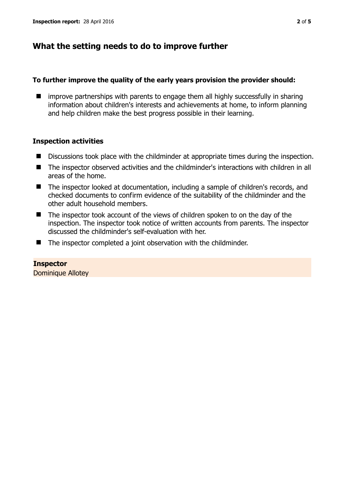## **What the setting needs to do to improve further**

#### **To further improve the quality of the early years provision the provider should:**

 $\blacksquare$  improve partnerships with parents to engage them all highly successfully in sharing information about children's interests and achievements at home, to inform planning and help children make the best progress possible in their learning.

### **Inspection activities**

- Discussions took place with the childminder at appropriate times during the inspection.
- The inspector observed activities and the childminder's interactions with children in all areas of the home.
- The inspector looked at documentation, including a sample of children's records, and checked documents to confirm evidence of the suitability of the childminder and the other adult household members.
- The inspector took account of the views of children spoken to on the day of the inspection. The inspector took notice of written accounts from parents. The inspector discussed the childminder's self-evaluation with her.
- The inspector completed a joint observation with the childminder.

**Inspector**  Dominique Allotey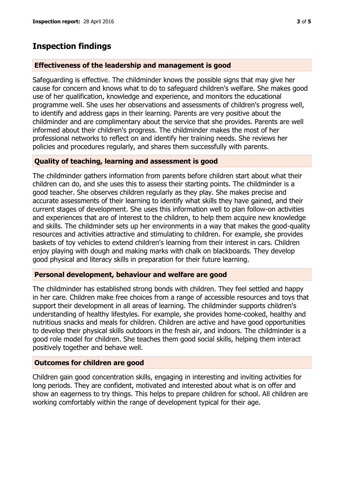## **Inspection findings**

#### **Effectiveness of the leadership and management is good**

Safeguarding is effective. The childminder knows the possible signs that may give her cause for concern and knows what to do to safeguard children's welfare. She makes good use of her qualification, knowledge and experience, and monitors the educational programme well. She uses her observations and assessments of children's progress well, to identify and address gaps in their learning. Parents are very positive about the childminder and are complimentary about the service that she provides. Parents are well informed about their children's progress. The childminder makes the most of her professional networks to reflect on and identify her training needs. She reviews her policies and procedures regularly, and shares them successfully with parents.

#### **Quality of teaching, learning and assessment is good**

The childminder gathers information from parents before children start about what their children can do, and she uses this to assess their starting points. The childminder is a good teacher. She observes children regularly as they play. She makes precise and accurate assessments of their learning to identify what skills they have gained, and their current stages of development. She uses this information well to plan follow-on activities and experiences that are of interest to the children, to help them acquire new knowledge and skills. The childminder sets up her environments in a way that makes the good-quality resources and activities attractive and stimulating to children. For example, she provides baskets of toy vehicles to extend children's learning from their interest in cars. Children enjoy playing with dough and making marks with chalk on blackboards. They develop good physical and literacy skills in preparation for their future learning.

#### **Personal development, behaviour and welfare are good**

The childminder has established strong bonds with children. They feel settled and happy in her care. Children make free choices from a range of accessible resources and toys that support their development in all areas of learning. The childminder supports children's understanding of healthy lifestyles. For example, she provides home-cooked, healthy and nutritious snacks and meals for children. Children are active and have good opportunities to develop their physical skills outdoors in the fresh air, and indoors. The childminder is a good role model for children. She teaches them good social skills, helping them interact positively together and behave well.

#### **Outcomes for children are good**

Children gain good concentration skills, engaging in interesting and inviting activities for long periods. They are confident, motivated and interested about what is on offer and show an eagerness to try things. This helps to prepare children for school. All children are working comfortably within the range of development typical for their age.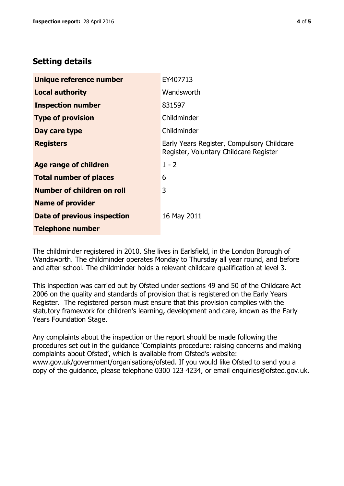## **Setting details**

| Unique reference number       | EY407713                                                                             |  |
|-------------------------------|--------------------------------------------------------------------------------------|--|
| <b>Local authority</b>        | Wandsworth                                                                           |  |
| <b>Inspection number</b>      | 831597                                                                               |  |
| <b>Type of provision</b>      | Childminder                                                                          |  |
| Day care type                 | Childminder                                                                          |  |
| <b>Registers</b>              | Early Years Register, Compulsory Childcare<br>Register, Voluntary Childcare Register |  |
| Age range of children         | $1 - 2$                                                                              |  |
| <b>Total number of places</b> | 6                                                                                    |  |
| Number of children on roll    | 3                                                                                    |  |
| <b>Name of provider</b>       |                                                                                      |  |
| Date of previous inspection   | 16 May 2011                                                                          |  |
| <b>Telephone number</b>       |                                                                                      |  |

The childminder registered in 2010. She lives in Earlsfield, in the London Borough of Wandsworth. The childminder operates Monday to Thursday all year round, and before and after school. The childminder holds a relevant childcare qualification at level 3.

This inspection was carried out by Ofsted under sections 49 and 50 of the Childcare Act 2006 on the quality and standards of provision that is registered on the Early Years Register. The registered person must ensure that this provision complies with the statutory framework for children's learning, development and care, known as the Early Years Foundation Stage.

Any complaints about the inspection or the report should be made following the procedures set out in the guidance 'Complaints procedure: raising concerns and making complaints about Ofsted', which is available from Ofsted's website: www.gov.uk/government/organisations/ofsted. If you would like Ofsted to send you a copy of the guidance, please telephone 0300 123 4234, or email enquiries@ofsted.gov.uk.